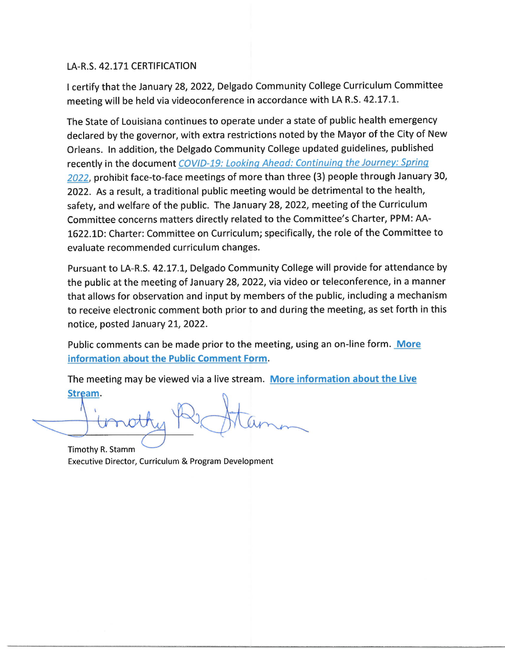# LA-R.S. 42.171 CERTIFICATION

I certify that the January 28, 2022, Delgado Community College Curriculum Committee meeting will be held via videoconference in accordance with LA R.S. 42.17.1.

The State of Louisiana continues to operate under a state of public health emergency declared by the governor, with extra restrictions noted by the Mayor of the City of New Orleans. In addition, the Delgado Community College updated guidelines, published recently in the document COVID-19: Looking Ahead: Continuing the Journey: Spring 2022, prohibit face-to-face meetings of more than three (3) people through January 30, 2022. As a result, a traditional public meeting would be detrimental to the health, safety, and welfare of the public. The January 28, 2022, meeting of the Curriculum Committee concerns matters directly related to the Committee's Charter, PPM: AA-1622.1D: Charter: Committee on Curriculum; specifically, the role of the Committee to evaluate recommended curriculum changes.

Pursuant to LA-R.S. 42.17.1, Delgado Community College will provide for attendance by the public at the meeting of January 28, 2022, via video or teleconference, in a manner that allows for observation and input by members of the public, including a mechanism to receive electronic comment both prior to and during the meeting, as set forth in this notice, posted January 21, 2022.

Public comments can be made prior to the meeting, using an on-line form. More information about the Public Comment Form.

The meeting may be viewed via a live stream. More information about the Live Stream.

Timothy R. Stamm Executive Director, Curriculum & Program Development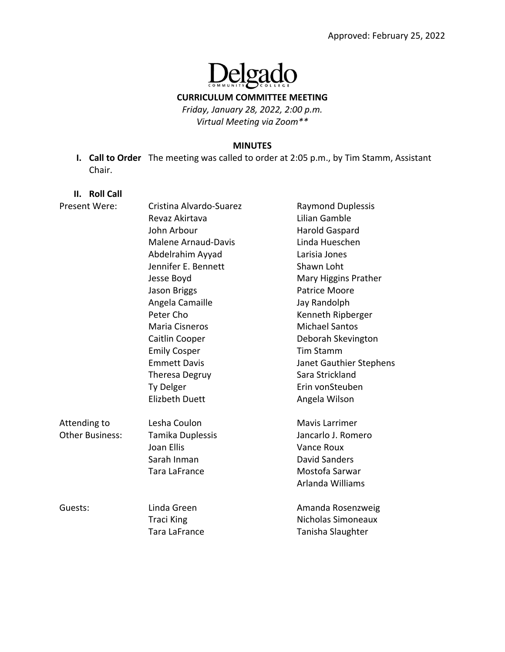# **Delgado**  $\prod_{\text{com}}$

**CURRICULUM COMMITTEE MEETING**

*Friday, January 28, 2022, 2:00 p.m. Virtual Meeting via Zoom\*\**

#### **MINUTES**

**I. Call to Order** The meeting was called to order at 2:05 p.m., by Tim Stamm, Assistant Chair.

#### **II. Roll Call**

| Present Were:   | Cristina Alvardo-Suarez    | <b>Raymond Duplessis</b> |
|-----------------|----------------------------|--------------------------|
|                 | Revaz Akirtava             | Lilian Gamble            |
|                 | John Arbour                | <b>Harold Gaspard</b>    |
|                 | <b>Malene Arnaud-Davis</b> | Linda Hueschen           |
|                 | Abdelrahim Ayyad           | Larisia Jones            |
|                 | Jennifer E. Bennett        | Shawn Loht               |
|                 | Jesse Boyd                 | Mary Higgins Prather     |
|                 | Jason Briggs               | <b>Patrice Moore</b>     |
|                 | Angela Camaille            | Jay Randolph             |
|                 | Peter Cho                  | Kenneth Ripberger        |
|                 | Maria Cisneros             | <b>Michael Santos</b>    |
|                 | Caitlin Cooper             | Deborah Skevington       |
|                 | <b>Emily Cosper</b>        | <b>Tim Stamm</b>         |
|                 | <b>Emmett Davis</b>        | Janet Gauthier Stephens  |
|                 | <b>Theresa Degruy</b>      | Sara Strickland          |
|                 | Ty Delger                  | Erin vonSteuben          |
|                 | <b>Elizbeth Duett</b>      | Angela Wilson            |
| Attending to    | Lesha Coulon               | Mavis Larrimer           |
| Other Business: | Tamika Duplessis           | Jancarlo J. Romero       |
|                 | Joan Ellis                 | <b>Vance Roux</b>        |
|                 | Sarah Inman                | <b>David Sanders</b>     |
|                 | Tara LaFrance              | Mostofa Sarwar           |
|                 |                            | Arlanda Williams         |
| Guests:         | Linda Green                | Amanda Rosenzweig        |
|                 | <b>Traci King</b>          | Nicholas Simoneaux       |
|                 | <b>Tara LaFrance</b>       | Tanisha Slaughter        |
|                 |                            |                          |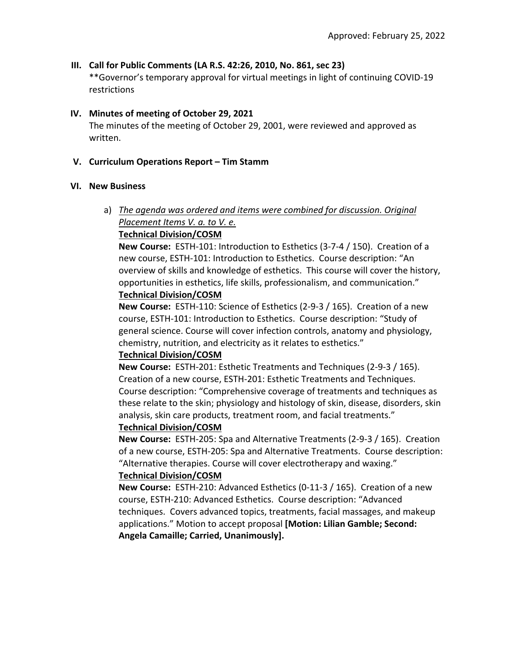### **III. Call for Public Comments (LA R.S. 42:26, 2010, No. 861, sec 23)**

\*\*Governor's temporary approval for virtual meetings in light of continuing COVID‐19 restrictions

#### **IV. Minutes of meeting of October 29, 2021**

The minutes of the meeting of October 29, 2001, were reviewed and approved as written.

#### **V. Curriculum Operations Report – Tim Stamm**

#### **VI. New Business**

# a) *The agenda was ordered and items were combined for discussion. Original Placement Items V. a. to V. e.*

### **Technical Division/COSM**

**New Course:** ESTH‐101: Introduction to Esthetics (3‐7‐4 / 150). Creation of a new course, ESTH‐101: Introduction to Esthetics. Course description: "An overview of skills and knowledge of esthetics. This course will cover the history, opportunities in esthetics, life skills, professionalism, and communication." **Technical Division/COSM**

**New Course:** ESTH‐110: Science of Esthetics (2‐9‐3 / 165). Creation of a new course, ESTH‐101: Introduction to Esthetics. Course description: "Study of general science. Course will cover infection controls, anatomy and physiology, chemistry, nutrition, and electricity as it relates to esthetics."

### **Technical Division/COSM**

**New Course:** ESTH‐201: Esthetic Treatments and Techniques (2‐9‐3 / 165). Creation of a new course, ESTH‐201: Esthetic Treatments and Techniques. Course description: "Comprehensive coverage of treatments and techniques as these relate to the skin; physiology and histology of skin, disease, disorders, skin analysis, skin care products, treatment room, and facial treatments."

#### **Technical Division/COSM**

**New Course:** ESTH‐205: Spa and Alternative Treatments (2‐9‐3 / 165). Creation of a new course, ESTH‐205: Spa and Alternative Treatments. Course description: "Alternative therapies. Course will cover electrotherapy and waxing."

### **Technical Division/COSM**

**New Course:** ESTH‐210: Advanced Esthetics (0‐11‐3 / 165). Creation of a new course, ESTH‐210: Advanced Esthetics. Course description: "Advanced techniques. Covers advanced topics, treatments, facial massages, and makeup applications." Motion to accept proposal **[Motion: Lilian Gamble; Second: Angela Camaille; Carried, Unanimously].**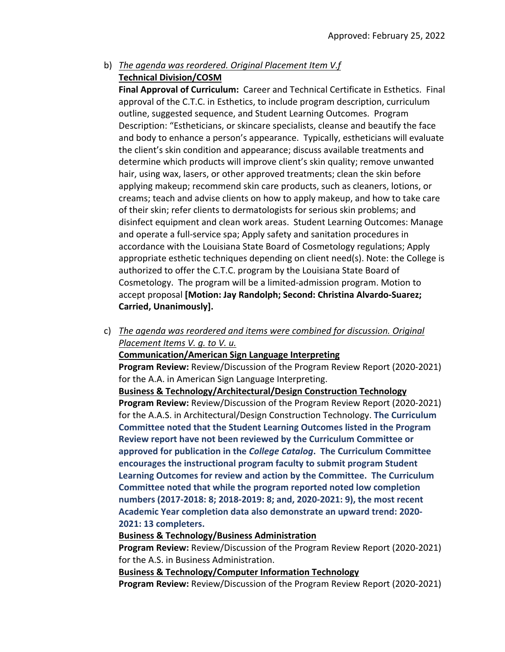# b) *The agenda was reordered. Original Placement Item V.f*  **Technical Division/COSM**

**Final Approval of Curriculum:** Career and Technical Certificate in Esthetics. Final approval of the C.T.C. in Esthetics, to include program description, curriculum outline, suggested sequence, and Student Learning Outcomes. Program Description: "Estheticians, or skincare specialists, cleanse and beautify the face and body to enhance a person's appearance. Typically, estheticians will evaluate the client's skin condition and appearance; discuss available treatments and determine which products will improve client's skin quality; remove unwanted hair, using wax, lasers, or other approved treatments; clean the skin before applying makeup; recommend skin care products, such as cleaners, lotions, or creams; teach and advise clients on how to apply makeup, and how to take care of their skin; refer clients to dermatologists for serious skin problems; and disinfect equipment and clean work areas. Student Learning Outcomes: Manage and operate a full‐service spa; Apply safety and sanitation procedures in accordance with the Louisiana State Board of Cosmetology regulations; Apply appropriate esthetic techniques depending on client need(s). Note: the College is authorized to offer the C.T.C. program by the Louisiana State Board of Cosmetology. The program will be a limited‐admission program. Motion to accept proposal **[Motion: Jay Randolph; Second: Christina Alvardo‐Suarez; Carried, Unanimously].**

c) *The agenda was reordered and items were combined for discussion. Original Placement Items V. g. to V. u.* 

### **Communication/American Sign Language Interpreting**

**Program Review:** Review/Discussion of the Program Review Report (2020‐2021) for the A.A. in American Sign Language Interpreting.

**Business & Technology/Architectural/Design Construction Technology**

**Program Review:** Review/Discussion of the Program Review Report (2020‐2021) for the A.A.S. in Architectural/Design Construction Technology. **The Curriculum Committee noted that the Student Learning Outcomes listed in the Program Review report have not been reviewed by the Curriculum Committee or approved for publication in the** *College Catalog***. The Curriculum Committee encourages the instructional program faculty to submit program Student Learning Outcomes for review and action by the Committee. The Curriculum Committee noted that while the program reported noted low completion numbers (2017‐2018: 8; 2018‐2019: 8; and, 2020‐2021: 9), the most recent Academic Year completion data also demonstrate an upward trend: 2020‐ 2021: 13 completers.** 

#### **Business & Technology/Business Administration**

**Program Review:** Review/Discussion of the Program Review Report (2020‐2021) for the A.S. in Business Administration.

#### **Business & Technology/Computer Information Technology**

**Program Review:** Review/Discussion of the Program Review Report (2020‐2021)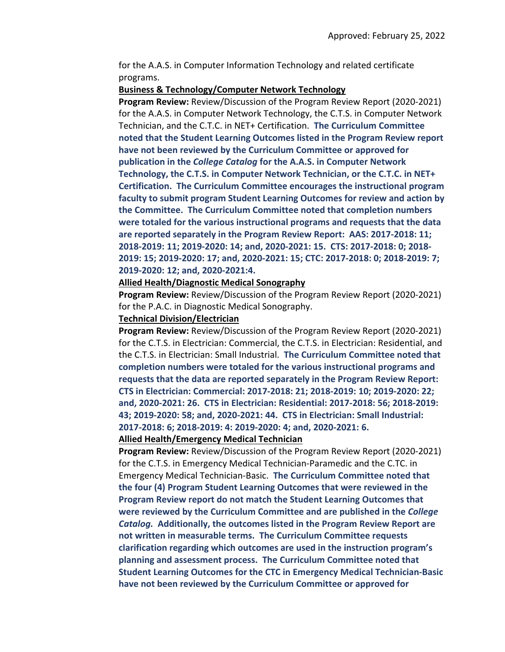for the A.A.S. in Computer Information Technology and related certificate programs.

#### **Business & Technology/Computer Network Technology**

**Program Review:** Review/Discussion of the Program Review Report (2020‐2021) for the A.A.S. in Computer Network Technology, the C.T.S. in Computer Network Technician, and the C.T.C. in NET+ Certification. **The Curriculum Committee noted that the Student Learning Outcomes listed in the Program Review report have not been reviewed by the Curriculum Committee or approved for publication in the** *College Catalog* **for the A.A.S. in Computer Network Technology, the C.T.S. in Computer Network Technician, or the C.T.C. in NET+ Certification. The Curriculum Committee encourages the instructional program faculty to submit program Student Learning Outcomes for review and action by the Committee. The Curriculum Committee noted that completion numbers were totaled for the various instructional programs and requests that the data are reported separately in the Program Review Report: AAS: 2017‐2018: 11; 2018‐2019: 11; 2019‐2020: 14; and, 2020‐2021: 15. CTS: 2017‐2018: 0; 2018‐ 2019: 15; 2019‐2020: 17; and, 2020‐2021: 15; CTC: 2017‐2018: 0; 2018‐2019: 7; 2019‐2020: 12; and, 2020‐2021:4.**

#### **Allied Health/Diagnostic Medical Sonography**

**Program Review:** Review/Discussion of the Program Review Report (2020‐2021) for the P.A.C. in Diagnostic Medical Sonography.

#### **Technical Division/Electrician**

**Program Review:** Review/Discussion of the Program Review Report (2020‐2021) for the C.T.S. in Electrician: Commercial, the C.T.S. in Electrician: Residential, and the C.T.S. in Electrician: Small Industrial. **The Curriculum Committee noted that completion numbers were totaled for the various instructional programs and requests that the data are reported separately in the Program Review Report: CTS in Electrician: Commercial: 2017‐2018: 21; 2018‐2019: 10; 2019‐2020: 22; and, 2020‐2021: 26. CTS in Electrician: Residential: 2017‐2018: 56; 2018‐2019: 43; 2019‐2020: 58; and, 2020‐2021: 44. CTS in Electrician: Small Industrial: 2017‐2018: 6; 2018‐2019: 4: 2019‐2020: 4; and, 2020‐2021: 6.**

#### **Allied Health/Emergency Medical Technician**

**Program Review:** Review/Discussion of the Program Review Report (2020‐2021) for the C.T.S. in Emergency Medical Technician‐Paramedic and the C.TC. in Emergency Medical Technician‐Basic. **The Curriculum Committee noted that the four (4) Program Student Learning Outcomes that were reviewed in the Program Review report do not match the Student Learning Outcomes that were reviewed by the Curriculum Committee and are published in the** *College Catalog.* **Additionally, the outcomes listed in the Program Review Report are not written in measurable terms. The Curriculum Committee requests clarification regarding which outcomes are used in the instruction program's planning and assessment process. The Curriculum Committee noted that Student Learning Outcomes for the CTC in Emergency Medical Technician‐Basic have not been reviewed by the Curriculum Committee or approved for**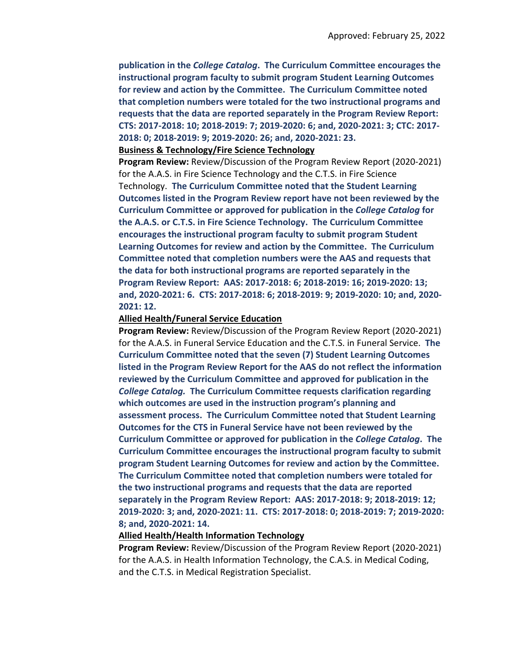**publication in the** *College Catalog***. The Curriculum Committee encourages the instructional program faculty to submit program Student Learning Outcomes for review and action by the Committee. The Curriculum Committee noted that completion numbers were totaled for the two instructional programs and requests that the data are reported separately in the Program Review Report: CTS: 2017‐2018: 10; 2018‐2019: 7; 2019‐2020: 6; and, 2020‐2021: 3; CTC: 2017‐ 2018: 0; 2018‐2019: 9; 2019‐2020: 26; and, 2020‐2021: 23.**

#### **Business & Technology/Fire Science Technology**

**Program Review:** Review/Discussion of the Program Review Report (2020‐2021) for the A.A.S. in Fire Science Technology and the C.T.S. in Fire Science Technology. **The Curriculum Committee noted that the Student Learning Outcomes listed in the Program Review report have not been reviewed by the Curriculum Committee or approved for publication in the** *College Catalog* **for the A.A.S. or C.T.S. in Fire Science Technology. The Curriculum Committee encourages the instructional program faculty to submit program Student Learning Outcomes for review and action by the Committee. The Curriculum Committee noted that completion numbers were the AAS and requests that the data for both instructional programs are reported separately in the Program Review Report: AAS: 2017‐2018: 6; 2018‐2019: 16; 2019‐2020: 13;** and, 2020-2021: 6. CTS: 2017-2018: 6; 2018-2019: 9; 2019-2020: 10; and, 2020-**2021: 12.**

#### **Allied Health/Funeral Service Education**

**Program Review:** Review/Discussion of the Program Review Report (2020‐2021) for the A.A.S. in Funeral Service Education and the C.T.S. in Funeral Service. **The Curriculum Committee noted that the seven (7) Student Learning Outcomes listed in the Program Review Report for the AAS do not reflect the information reviewed by the Curriculum Committee and approved for publication in the** *College Catalog.* **The Curriculum Committee requests clarification regarding which outcomes are used in the instruction program's planning and assessment process. The Curriculum Committee noted that Student Learning Outcomes for the CTS in Funeral Service have not been reviewed by the Curriculum Committee or approved for publication in the** *College Catalog***. The Curriculum Committee encourages the instructional program faculty to submit program Student Learning Outcomes for review and action by the Committee. The Curriculum Committee noted that completion numbers were totaled for the two instructional programs and requests that the data are reported separately in the Program Review Report: AAS: 2017‐2018: 9; 2018‐2019: 12;** 2019-2020: 3; and, 2020-2021: 11. CTS: 2017-2018: 0; 2018-2019: 7; 2019-2020: **8; and, 2020‐2021: 14.**

#### **Allied Health/Health Information Technology**

**Program Review:** Review/Discussion of the Program Review Report (2020‐2021) for the A.A.S. in Health Information Technology, the C.A.S. in Medical Coding, and the C.T.S. in Medical Registration Specialist.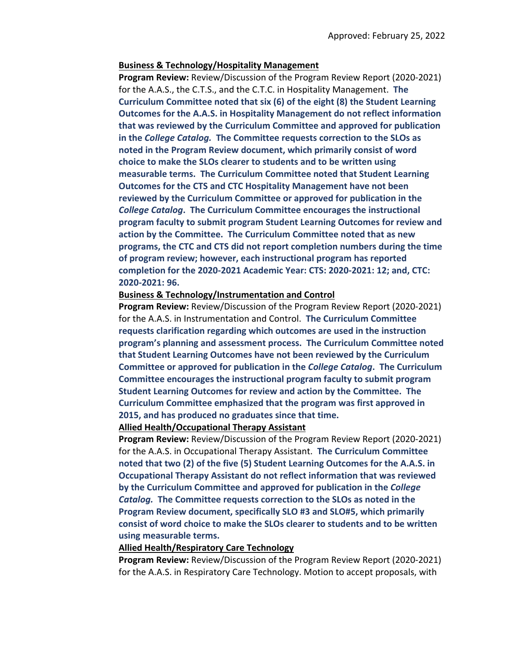#### **Business & Technology/Hospitality Management**

**Program Review:** Review/Discussion of the Program Review Report (2020‐2021) for the A.A.S., the C.T.S., and the C.T.C. in Hospitality Management. **The Curriculum Committee noted that six (6) of the eight (8) the Student Learning Outcomes for the A.A.S. in Hospitality Management do not reflect information that was reviewed by the Curriculum Committee and approved for publication in the** *College Catalog.* **The Committee requests correction to the SLOs as noted in the Program Review document, which primarily consist of word choice to make the SLOs clearer to students and to be written using measurable terms. The Curriculum Committee noted that Student Learning Outcomes for the CTS and CTC Hospitality Management have not been reviewed by the Curriculum Committee or approved for publication in the** *College Catalog***. The Curriculum Committee encourages the instructional program faculty to submit program Student Learning Outcomes for review and action by the Committee. The Curriculum Committee noted that as new programs, the CTC and CTS did not report completion numbers during the time of program review; however, each instructional program has reported completion for the 2020‐2021 Academic Year: CTS: 2020‐2021: 12; and, CTC: 2020‐2021: 96.**

#### **Business & Technology/Instrumentation and Control**

**Program Review:** Review/Discussion of the Program Review Report (2020‐2021) for the A.A.S. in Instrumentation and Control. **The Curriculum Committee requests clarification regarding which outcomes are used in the instruction program's planning and assessment process. The Curriculum Committee noted that Student Learning Outcomes have not been reviewed by the Curriculum Committee or approved for publication in the** *College Catalog***. The Curriculum Committee encourages the instructional program faculty to submit program Student Learning Outcomes for review and action by the Committee. The Curriculum Committee emphasized that the program was first approved in 2015, and has produced no graduates since that time.** 

#### **Allied Health/Occupational Therapy Assistant**

**Program Review:** Review/Discussion of the Program Review Report (2020‐2021) for the A.A.S. in Occupational Therapy Assistant. **The Curriculum Committee noted that two (2) of the five (5) Student Learning Outcomes for the A.A.S. in Occupational Therapy Assistant do not reflect information that was reviewed by the Curriculum Committee and approved for publication in the** *College Catalog.* **The Committee requests correction to the SLOs as noted in the Program Review document, specifically SLO #3 and SLO#5, which primarily consist of word choice to make the SLOs clearer to students and to be written using measurable terms.** 

#### **Allied Health/Respiratory Care Technology**

**Program Review:** Review/Discussion of the Program Review Report (2020‐2021) for the A.A.S. in Respiratory Care Technology. Motion to accept proposals, with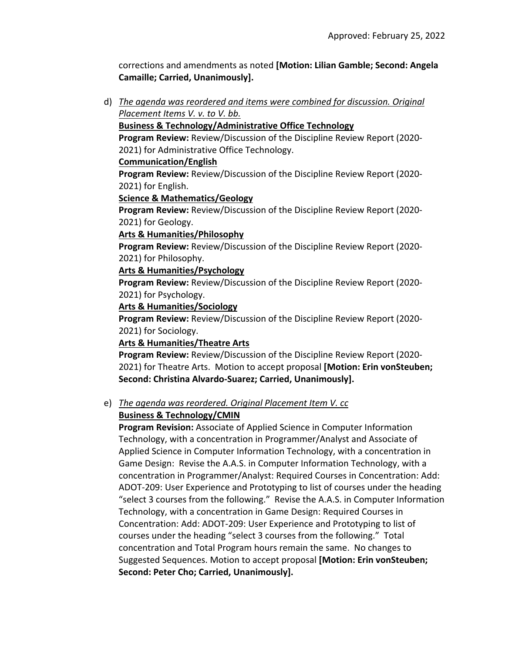corrections and amendments as noted **[Motion: Lilian Gamble; Second: Angela Camaille; Carried, Unanimously].**

d) *The agenda was reordered and items were combined for discussion. Original Placement Items V. v. to V. bb.* 

### **Business & Technology/Administrative Office Technology**

**Program Review:** Review/Discussion of the Discipline Review Report (2020‐ 2021) for Administrative Office Technology.

#### **Communication/English**

**Program Review:** Review/Discussion of the Discipline Review Report (2020‐ 2021) for English.

#### **Science & Mathematics/Geology**

**Program Review:** Review/Discussion of the Discipline Review Report (2020‐ 2021) for Geology.

#### **Arts & Humanities/Philosophy**

**Program Review:** Review/Discussion of the Discipline Review Report (2020‐ 2021) for Philosophy.

#### **Arts & Humanities/Psychology**

**Program Review:** Review/Discussion of the Discipline Review Report (2020‐ 2021) for Psychology.

#### **Arts & Humanities/Sociology**

**Program Review:** Review/Discussion of the Discipline Review Report (2020‐ 2021) for Sociology.

#### **Arts & Humanities/Theatre Arts**

**Program Review:** Review/Discussion of the Discipline Review Report (2020‐ 2021) for Theatre Arts. Motion to accept proposal **[Motion: Erin vonSteuben; Second: Christina Alvardo‐Suarez; Carried, Unanimously].**

### e) *The agenda was reordered. Original Placement Item V. cc*

### **Business & Technology/CMIN**

**Program Revision:** Associate of Applied Science in Computer Information Technology, with a concentration in Programmer/Analyst and Associate of Applied Science in Computer Information Technology, with a concentration in Game Design: Revise the A.A.S. in Computer Information Technology, with a concentration in Programmer/Analyst: Required Courses in Concentration: Add: ADOT‐209: User Experience and Prototyping to list of courses under the heading "select 3 courses from the following." Revise the A.A.S. in Computer Information Technology, with a concentration in Game Design: Required Courses in Concentration: Add: ADOT‐209: User Experience and Prototyping to list of courses under the heading "select 3 courses from the following." Total concentration and Total Program hours remain the same. No changes to Suggested Sequences. Motion to accept proposal **[Motion: Erin vonSteuben; Second: Peter Cho; Carried, Unanimously].**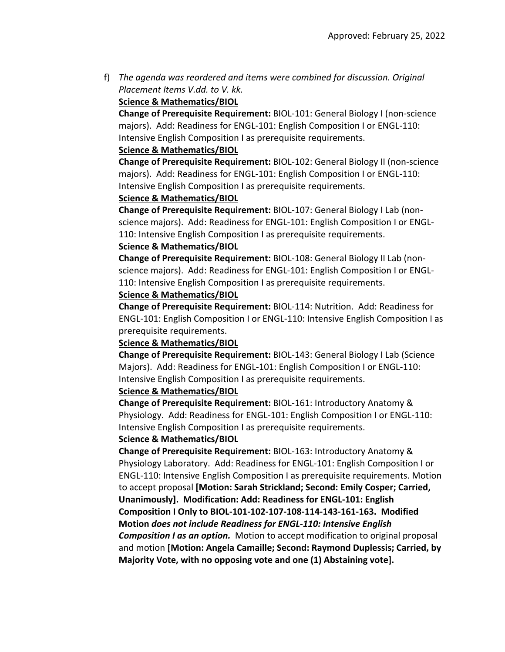f) *The agenda was reordered and items were combined for discussion. Original Placement Items V.dd. to V. kk.* 

### **Science & Mathematics/BIOL**

**Change of Prerequisite Requirement:** BIOL‐101: General Biology I (non‐science majors). Add: Readiness for ENGL‐101: English Composition I or ENGL‐110: Intensive English Composition I as prerequisite requirements.

### **Science & Mathematics/BIOL**

**Change of Prerequisite Requirement:** BIOL‐102: General Biology II (non‐science majors). Add: Readiness for ENGL‐101: English Composition I or ENGL‐110: Intensive English Composition I as prerequisite requirements.

### **Science & Mathematics/BIOL**

**Change of Prerequisite Requirement:** BIOL‐107: General Biology I Lab (non‐ science majors). Add: Readiness for ENGL‐101: English Composition I or ENGL‐ 110: Intensive English Composition I as prerequisite requirements.

### **Science & Mathematics/BIOL**

**Change of Prerequisite Requirement:** BIOL‐108: General Biology II Lab (non‐ science majors). Add: Readiness for ENGL‐101: English Composition I or ENGL‐ 110: Intensive English Composition I as prerequisite requirements.

### **Science & Mathematics/BIOL**

**Change of Prerequisite Requirement:** BIOL‐114: Nutrition. Add: Readiness for ENGL‐101: English Composition I or ENGL‐110: Intensive English Composition I as prerequisite requirements.

### **Science & Mathematics/BIOL**

**Change of Prerequisite Requirement:** BIOL‐143: General Biology I Lab (Science Majors). Add: Readiness for ENGL‐101: English Composition I or ENGL‐110: Intensive English Composition I as prerequisite requirements.

### **Science & Mathematics/BIOL**

**Change of Prerequisite Requirement:** BIOL‐161: Introductory Anatomy & Physiology. Add: Readiness for ENGL‐101: English Composition I or ENGL‐110: Intensive English Composition I as prerequisite requirements.

### **Science & Mathematics/BIOL**

**Change of Prerequisite Requirement:** BIOL‐163: Introductory Anatomy & Physiology Laboratory. Add: Readiness for ENGL‐101: English Composition I or ENGL‐110: Intensive English Composition I as prerequisite requirements. Motion to accept proposal **[Motion: Sarah Strickland; Second: Emily Cosper; Carried, Unanimously]. Modification: Add: Readiness for ENGL‐101: English** Composition I Only to BIOL-101-102-107-108-114-143-161-163. Modified **Motion** *does not include Readiness for ENGL‐110: Intensive English Composition I as an option.* Motion to accept modification to original proposal and motion **[Motion: Angela Camaille; Second: Raymond Duplessis; Carried, by Majority Vote, with no opposing vote and one (1) Abstaining vote].**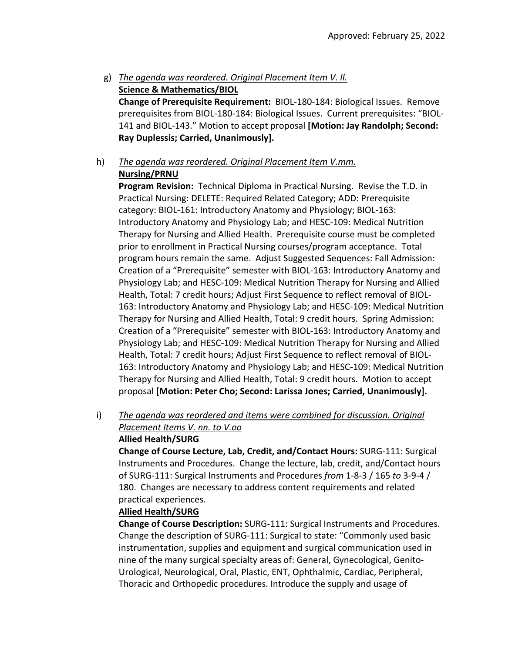g) *The agenda was reordered. Original Placement Item V. ll.*  **Science & Mathematics/BIOL**

**Change of Prerequisite Requirement:** BIOL‐180‐184: Biological Issues. Remove prerequisites from BIOL‐180‐184: Biological Issues. Current prerequisites: "BIOL‐ 141 and BIOL‐143." Motion to accept proposal **[Motion: Jay Randolph; Second: Ray Duplessis; Carried, Unanimously].**

h) *The agenda was reordered. Original Placement Item V.mm.*

# **Nursing/PRNU**

**Program Revision:** Technical Diploma in Practical Nursing. Revise the T.D. in Practical Nursing: DELETE: Required Related Category; ADD: Prerequisite category: BIOL‐161: Introductory Anatomy and Physiology; BIOL‐163: Introductory Anatomy and Physiology Lab; and HESC‐109: Medical Nutrition Therapy for Nursing and Allied Health. Prerequisite course must be completed prior to enrollment in Practical Nursing courses/program acceptance. Total program hours remain the same. Adjust Suggested Sequences: Fall Admission: Creation of a "Prerequisite" semester with BIOL‐163: Introductory Anatomy and Physiology Lab; and HESC‐109: Medical Nutrition Therapy for Nursing and Allied Health, Total: 7 credit hours; Adjust First Sequence to reflect removal of BIOL‐ 163: Introductory Anatomy and Physiology Lab; and HESC‐109: Medical Nutrition Therapy for Nursing and Allied Health, Total: 9 credit hours. Spring Admission: Creation of a "Prerequisite" semester with BIOL‐163: Introductory Anatomy and Physiology Lab; and HESC‐109: Medical Nutrition Therapy for Nursing and Allied Health, Total: 7 credit hours; Adjust First Sequence to reflect removal of BIOL‐ 163: Introductory Anatomy and Physiology Lab; and HESC‐109: Medical Nutrition Therapy for Nursing and Allied Health, Total: 9 credit hours. Motion to accept proposal **[Motion: Peter Cho; Second: Larissa Jones; Carried, Unanimously].**

i) *The agenda was reordered and items were combined for discussion. Original Placement Items V. nn. to V.oo* **Allied Health/SURG**

**Change of Course Lecture, Lab, Credit, and/Contact Hours:** SURG‐111: Surgical Instruments and Procedures. Change the lecture, lab, credit, and/Contact hours of SURG‐111: Surgical Instruments and Procedures *from* 1‐8‐3 / 165 *to* 3‐9‐4 / 180. Changes are necessary to address content requirements and related practical experiences.

### **Allied Health/SURG**

**Change of Course Description:** SURG‐111: Surgical Instruments and Procedures. Change the description of SURG‐111: Surgical to state: "Commonly used basic instrumentation, supplies and equipment and surgical communication used in nine of the many surgical specialty areas of: General, Gynecological, Genito‐ Urological, Neurological, Oral, Plastic, ENT, Ophthalmic, Cardiac, Peripheral, Thoracic and Orthopedic procedures. Introduce the supply and usage of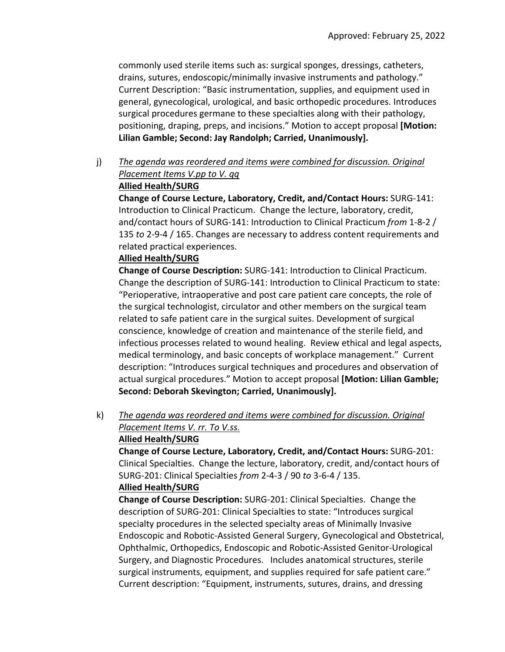commonly used sterile items such as: surgical sponges, dressings, catheters, drains, sutures, endoscopic/minimally invasive instruments and pathology." Current Description: "Basic instrumentation, supplies, and equipment used in general, gynecological, urological, and basic orthopedic procedures. Introduces surgical procedures germane to these specialties along with their pathology, positioning, draping, preps, and incisions." Motion to accept proposal **[Motion: Lilian Gamble; Second: Jay Randolph; Carried, Unanimously].**

j) *The agenda was reordered and items were combined for discussion. Original Placement Items V.pp to V. qq*

### **Allied Health/SURG**

**Change of Course Lecture, Laboratory, Credit, and/Contact Hours:** SURG‐141: Introduction to Clinical Practicum. Change the lecture, laboratory, credit, and/contact hours of SURG‐141: Introduction to Clinical Practicum *from* 1‐8‐2 / 135 *to* 2‐9‐4 / 165. Changes are necessary to address content requirements and related practical experiences.

#### **Allied Health/SURG**

**Change of Course Description:** SURG‐141: Introduction to Clinical Practicum. Change the description of SURG‐141: Introduction to Clinical Practicum to state: "Perioperative, intraoperative and post care patient care concepts, the role of the surgical technologist, circulator and other members on the surgical team related to safe patient care in the surgical suites. Development of surgical conscience, knowledge of creation and maintenance of the sterile field, and infectious processes related to wound healing. Review ethical and legal aspects, medical terminology, and basic concepts of workplace management." Current description: "Introduces surgical techniques and procedures and observation of actual surgical procedures." Motion to accept proposal **[Motion: Lilian Gamble; Second: Deborah Skevington; Carried, Unanimously].**

k) *The agenda was reordered and items were combined for discussion. Original Placement Items V. rr. To V.ss.*  **Allied Health/SURG**

**Change of Course Lecture, Laboratory, Credit, and/Contact Hours:** SURG‐201: Clinical Specialties. Change the lecture, laboratory, credit, and/contact hours of SURG‐201: Clinical Specialties *from* 2‐4‐3 / 90 *to* 3‐6‐4 / 135.

#### **Allied Health/SURG**

**Change of Course Description:** SURG‐201: Clinical Specialties. Change the description of SURG‐201: Clinical Specialties to state: "Introduces surgical specialty procedures in the selected specialty areas of Minimally Invasive Endoscopic and Robotic‐Assisted General Surgery, Gynecological and Obstetrical, Ophthalmic, Orthopedics, Endoscopic and Robotic‐Assisted Genitor‐Urological Surgery, and Diagnostic Procedures. Includes anatomical structures, sterile surgical instruments, equipment, and supplies required for safe patient care." Current description: "Equipment, instruments, sutures, drains, and dressing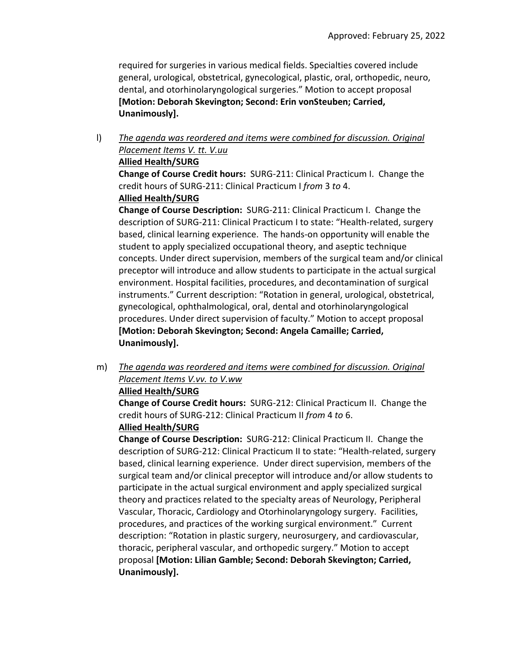required for surgeries in various medical fields. Specialties covered include general, urological, obstetrical, gynecological, plastic, oral, orthopedic, neuro, dental, and otorhinolaryngological surgeries." Motion to accept proposal **[Motion: Deborah Skevington; Second: Erin vonSteuben; Carried, Unanimously].**

l) *The agenda was reordered and items were combined for discussion. Original Placement Items V. tt. V.uu* 

# **Allied Health/SURG**

**Change of Course Credit hours:** SURG‐211: Clinical Practicum I. Change the credit hours of SURG‐211: Clinical Practicum I *from* 3 *to* 4.

# **Allied Health/SURG**

**Change of Course Description:** SURG‐211: Clinical Practicum I. Change the description of SURG‐211: Clinical Practicum I to state: "Health‐related, surgery based, clinical learning experience. The hands‐on opportunity will enable the student to apply specialized occupational theory, and aseptic technique concepts. Under direct supervision, members of the surgical team and/or clinical preceptor will introduce and allow students to participate in the actual surgical environment. Hospital facilities, procedures, and decontamination of surgical instruments." Current description: "Rotation in general, urological, obstetrical, gynecological, ophthalmological, oral, dental and otorhinolaryngological procedures. Under direct supervision of faculty." Motion to accept proposal **[Motion: Deborah Skevington; Second: Angela Camaille; Carried, Unanimously].**

m) *The agenda was reordered and items were combined for discussion. Original Placement Items V.vv. to V.ww*

### **Allied Health/SURG**

**Change of Course Credit hours:** SURG‐212: Clinical Practicum II. Change the credit hours of SURG‐212: Clinical Practicum II *from* 4 *to* 6.

### **Allied Health/SURG**

**Change of Course Description:** SURG‐212: Clinical Practicum II. Change the description of SURG‐212: Clinical Practicum II to state: "Health‐related, surgery based, clinical learning experience. Under direct supervision, members of the surgical team and/or clinical preceptor will introduce and/or allow students to participate in the actual surgical environment and apply specialized surgical theory and practices related to the specialty areas of Neurology, Peripheral Vascular, Thoracic, Cardiology and Otorhinolaryngology surgery. Facilities, procedures, and practices of the working surgical environment." Current description: "Rotation in plastic surgery, neurosurgery, and cardiovascular, thoracic, peripheral vascular, and orthopedic surgery." Motion to accept proposal **[Motion: Lilian Gamble; Second: Deborah Skevington; Carried, Unanimously].**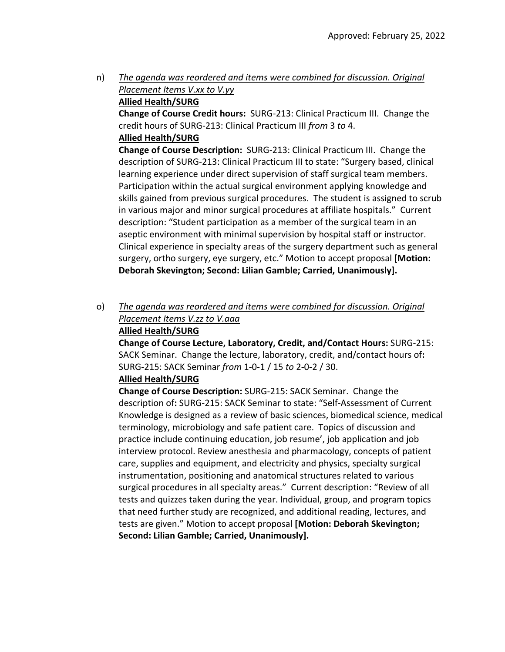n) *The agenda was reordered and items were combined for discussion. Original Placement Items V.xx to V.yy*

### **Allied Health/SURG**

**Change of Course Credit hours:** SURG‐213: Clinical Practicum III. Change the credit hours of SURG‐213: Clinical Practicum III *from* 3 *to* 4. **Allied Health/SURG**

**Change of Course Description:** SURG‐213: Clinical Practicum III. Change the description of SURG‐213: Clinical Practicum III to state: "Surgery based, clinical learning experience under direct supervision of staff surgical team members. Participation within the actual surgical environment applying knowledge and skills gained from previous surgical procedures. The student is assigned to scrub in various major and minor surgical procedures at affiliate hospitals." Current description: "Student participation as a member of the surgical team in an aseptic environment with minimal supervision by hospital staff or instructor. Clinical experience in specialty areas of the surgery department such as general surgery, ortho surgery, eye surgery, etc." Motion to accept proposal **[Motion: Deborah Skevington; Second: Lilian Gamble; Carried, Unanimously].**

### o) *The agenda was reordered and items were combined for discussion. Original Placement Items V.zz to V.aaa* **Allied Health/SURG**

**Change of Course Lecture, Laboratory, Credit, and/Contact Hours:** SURG‐215: SACK Seminar. Change the lecture, laboratory, credit, and/contact hours of**:** SURG‐215: SACK Seminar *from* 1‐0‐1 / 15 *to* 2‐0‐2 / 30.

### **Allied Health/SURG**

**Change of Course Description:** SURG‐215: SACK Seminar. Change the description of**:** SURG‐215: SACK Seminar to state: "Self‐Assessment of Current Knowledge is designed as a review of basic sciences, biomedical science, medical terminology, microbiology and safe patient care. Topics of discussion and practice include continuing education, job resume', job application and job interview protocol. Review anesthesia and pharmacology, concepts of patient care, supplies and equipment, and electricity and physics, specialty surgical instrumentation, positioning and anatomical structures related to various surgical procedures in all specialty areas." Current description: "Review of all tests and quizzes taken during the year. Individual, group, and program topics that need further study are recognized, and additional reading, lectures, and tests are given." Motion to accept proposal **[Motion: Deborah Skevington; Second: Lilian Gamble; Carried, Unanimously].**